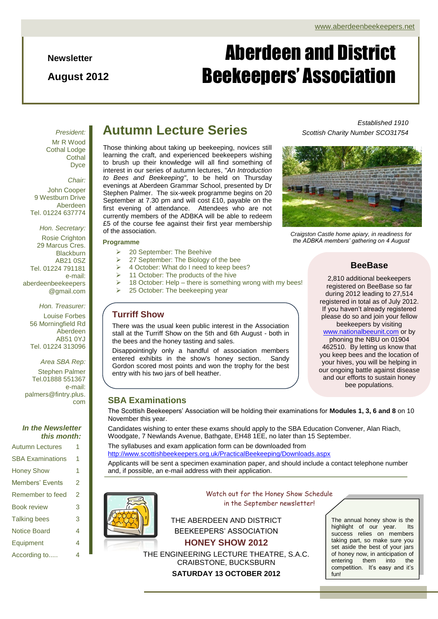**Newsletter**

**August 2012**

# Aberdeen and District Beekeepers' Association

*President:* Mr R Wood Cothal Lodge **Cothal** Dyce

*Chair:*

John Cooper 9 Westburn Drive Aberdeen Tel. 01224 637774

*Hon. Secretary:* Rosie Crighton 29 Marcus Cres. Blackburn AB21 0SZ Tel. 01224 791181 e-mail: aberdeenbeekeepers @gmail.com

*Hon. Treasurer:* Louise Forbes 56 Morningfield Rd Aberdeen AB51 0YJ Tel. 01224 313096

*Area SBA Rep:* Stephen Palmer Tel.01888 551367 e-mail: palmers@fintry.plus. com

#### *In the Newsletter this month:*

Autumn Lectures 1 SBA Examinations 1 Honey Show 1 Members' Events 2 Remember to feed 2 Book review 3 Talking bees 3 Notice Board 4 Equipment 4

According to..... 4

### **Autumn Lecture Series**

Those thinking about taking up beekeeping, novices still learning the craft, and experienced beekeepers wishing to brush up their knowledge will all find something of interest in our series of autumn lectures, "*An Introduction to Bees and Beekeeping"*, to be held on Thursday evenings at Aberdeen Grammar School, presented by Dr Stephen Palmer. The six-week programme begins on 20 September at 7.30 pm and will cost £10, payable on the first evening of attendance. Attendees who are not currently members of the ADBKA will be able to redeem £5 of the course fee against their first year membership of the association.

#### **Programme**

- **20 September: The Beehive**
- $\geq$  27 September: The Biology of the bee
- 4 October: What do I need to keep bees?
- 11 October: The products of the hive
- 18 October: Help there is something wrong with my bees!
- 25 October: The beekeeping year

#### **Turriff Show**

There was the usual keen public interest in the Association stall at the Turriff Show on the 5th and 6th August - both in the bees and the honey tasting and sales.

Disappointingly only a handful of association members entered exhibits in the show's honey section. Sandy Gordon scored most points and won the trophy for the best entry with his two jars of bell heather.

#### *Established 1910 Scottish Charity Number SCO31754*



*Craigston Castle home apiary, in readiness for the ADBKA members' gathering on 4 August*

#### **BeeBase**

2,810 additional beekeepers registered on BeeBase so far during 2012 leading to 27,514 registered in total as of July 2012. If you haven't already registered please do so and join your fellow beekeepers by visiting

your hives, you will be helping in<br>www.angeing.hottle.cominat.diagoge [www.nationalbeeunit.com](http://www.nationalbeeunit.com/) or by phoning the NBU on 01904 462510. By letting us know that you keep bees and the location of our ongoing battle against disease and our efforts to sustain honey bee populations.

#### **SBA Examinations**

The Scottish Beekeepers' Association will be holding their examinations for **Modules 1, 3, 6 and 8** on 10 November this year.

Candidates wishing to enter these exams should apply to the SBA Education Convener, Alan Riach, Woodgate, 7 Newlands Avenue, Bathgate, EH48 1EE, no later than 15 September.

The syllabuses and exam application form can be downloaded from <http://www.scottishbeekeepers.org.uk/PracticalBeekeeping/Downloads.aspx>

Applicants will be sent a specimen examination paper, and should include a contact telephone number and, if possible, an e-mail address with their application.



Watch out for the Honey Show Schedule in the September newsletter!

THE ABERDEEN AND DISTRICT BEEKEEPERS' ASSOCIATION **HONEY SHOW 2012**

THE ENGINEERING LECTURE THEATRE, S.A.C. CRAIBSTONE, BUCKSBURN **SATURDAY 13 OCTOBER 2012**

The annual honey show is the highlight of our year. Its success relies on members taking part, so make sure you set aside the best of your jars of honey now, in anticipation of entering them into the competition. It's easy and it's fun!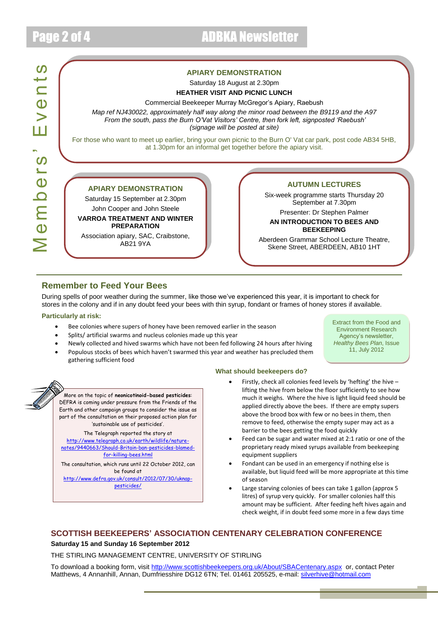Members' Events

Vembers'

Events

#### **APIARY DEMONSTRATION**

Saturday 18 August at 2.30pm **HEATHER VISIT AND PICNIC LUNCH** 

Commercial Beekeeper Murray McGregor's Apiary, Raebush *Map ref NJ430022, approximately half way along the minor road between the B9119 and the A97 From the south, pass the Burn O'Vat Visitors' Centre, then fork left, signposted 'Raebush' (signage will be posted at site)*

For those who want to meet up earlier, bring your own picnic to the Burn O' Vat car park, post code AB34 5HB, at 1.30pm for an informal get together before the apiary visit.

#### **APIARY DEMONSTRATION**

Saturday 15 September at 2.30pm

John Cooper and John Steele **VARROA TREATMENT AND WINTER** 

**PREPARATION** Association apiary, SAC, Craibstone,

AB21 9YA

#### **AUTUMN LECTURES**

Six-week programme starts Thursday 20 September at 7.30pm

Presenter: Dr Stephen Palmer **AN INTRODUCTION TO BEES AND** 

#### **BEEKEEPING**

Aberdeen Grammar School Lecture Theatre, Skene Street, ABERDEEN, AB10 1HT

#### **Remember to Feed Your Bees**

During spells of poor weather during the summer, like those we've experienced this year, it is important to check for stores in the colony and if in any doubt feed your bees with thin syrup, fondant or frames of honey stores if available.

#### **Particularly at risk:**

- Bee colonies where supers of honey have been removed earlier in the season
- Splits/ artificial swarms and nucleus colonies made up this year
- Newly collected and hived swarms which have not been fed following 24 hours after hiving
- Populous stocks of bees which haven't swarmed this year and weather has precluded them gathering sufficient food

Extract from the Food and Environment Research Agency's newsletter, *Healthy Bees Plan*, Issue 11, July 2012



More on the topic of **neonicotinoid-based pesticides**: DEFRA is coming under pressure from the Friends of the Earth and other campaign groups to consider the issue as part of the consultation on their proposed action plan for 'sustainable use of pesticides'.

The Telegraph reported the story at [http://www.telegraph.co.uk/earth/wildlife/nature](http://www.telegraph.co.uk/earth/wildlife/nature-notes/9440663/Should-Britain-ban-pesticides-blamed-for-killing-bees.html)[notes/9440663/Should-Britain-ban-pesticides-blamed](http://www.telegraph.co.uk/earth/wildlife/nature-notes/9440663/Should-Britain-ban-pesticides-blamed-for-killing-bees.html)[for-killing-bees.html](http://www.telegraph.co.uk/earth/wildlife/nature-notes/9440663/Should-Britain-ban-pesticides-blamed-for-killing-bees.html)

The consultation, which runs until 22 October 2012, can be found at

[http://www.defra.gov.uk/consult/2012/07/30/uknap](http://www.defra.gov.uk/consult/2012/07/30/uknap-pesticides/)[pesticides/](http://www.defra.gov.uk/consult/2012/07/30/uknap-pesticides/)

#### **What should beekeepers do?**

- Firstly, check all colonies feed levels by 'hefting' the hive lifting the hive from below the floor sufficiently to see how much it weighs. Where the hive is light liquid feed should be applied directly above the bees. If there are empty supers above the brood box with few or no bees in them, then remove to feed, otherwise the empty super may act as a barrier to the bees getting the food quickly
- Feed can be sugar and water mixed at 2:1 ratio or one of the proprietary ready mixed syrups available from beekeeping equipment suppliers
- Fondant can be used in an emergency if nothing else is available, but liquid feed will be more appropriate at this time of season
- Large starving colonies of bees can take 1 gallon (approx 5 litres) of syrup very quickly. For smaller colonies half this amount may be sufficient. After feeding heft hives again and check weight, if in doubt feed some more in a few days time

#### **SCOTTISH BEEKEEPERS' ASSOCIATION CENTENARY CELEBRATION CONFERENCE**

#### **Saturday 15 and Sunday 16 September 2012**

THE STIRLING MANAGEMENT CENTRE, UNIVERSITY OF STIRLING

To download a booking form, visit<http://www.scottishbeekeepers.org.uk/About/SBACentenary.aspx>or, contact Peter Matthews, 4 Annanhill, Annan, Dumfriesshire DG12 6TN; Tel. 01461 205525, e-mail: [silverhive@hotmail.com](mailto:silverhive@hotmail.com)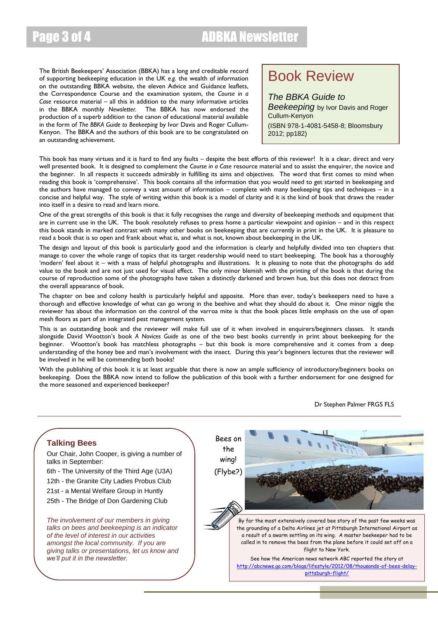The British Beekeepers' Association (BBKA) has a long and creditable record of supporting beekeeping education in the UK *e.g.* the wealth of information on the outstanding BBKA website, the eleven Advice and Guidance leaflets, the Correspondence Course and the examination system, the *Course in a Case* resource material – all this in addition to the many informative articles in the BBKA monthly *Newsletter.* The BBKA has now endorsed the production of a superb addition to the canon of educational material available in the form of *The BBKA Guide to Beekeeping* by Ivor Davis and Roger Cullum-Kenyon. The BBKA and the authors of this book are to be congratulated on an outstanding achievement.

### Book Review

*The BBKA Guide to*  **Beekeeping** by Ivor Davis and Roger Cullum-Kenyon (ISBN 978-1-4081-5458-8; Bloomsbury 2012; pp182)

This book has many virtues and it is hard to find any faults – despite the best efforts of this reviewer! It is a clear, direct and very well presented book. It is designed to complement the *Course in a Case* resource material and to assist the enquirer, the novice and the beginner. In all respects it succeeds admirably in fulfilling its aims and objectives. The word that first comes to mind when reading this book is 'comprehensive'. This book contains all the information that you would need to get started in beekeeping and the authors have managed to convey a vast amount of information – complete with many beekeeping tips and techniques – in a concise and helpful way. The style of writing within this book is a model of clarity and it is the kind of book that draws the reader into itself in a desire to read and learn more.

One of the great strengths of this book is that it fully recognises the range and diversity of beekeeping methods and equipment that are in current use in the UK. The book resolutely refuses to press home a particular viewpoint and opinion – and in this respect this book stands in marked contrast with many other books on beekeeping that are currently in print in the UK. It is pleasure to read a book that is so open and frank about what is, and what is not, known about beekeeping in the UK.

The design and layout of this book is particularly good and the information is clearly and helpfully divided into ten chapters that manage to cover the whole range of topics that its target readership would need to start beekeeping. The book has a thoroughly 'modern' feel about it – with a mass of helpful photographs and illustrations. It is pleasing to note that the photographs do add value to the book and are not just used for visual effect. The only minor blemish with the printing of the book is that during the course of reproduction some of the photographs have taken a distinctly darkened and brown hue, but this does not detract from the overall appearance of book.

The chapter on bee and colony health is particularly helpful and apposite. More than ever, today's beekeepers need to have a thorough and effective knowledge of what can go wrong in the beehive and what they should do about it. One minor niggle the reviewer has about the information on the control of the varroa mite is that the book places little emphasis on the use of open mesh floors as part of an integrated pest management system.

This is an outstanding book and the reviewer will make full use of it when involved in enquirers/beginners classes. It stands alongside David Wootton's book *A Novices Guide* as one of the two best books currently in print about beekeeping for the beginner. Wootton's book has matchless photographs – but this book is more comprehensive and it comes from a deep understanding of the honey bee and man's involvement with the insect. During this year's beginners lectures that the reviewer will be involved in he will be commending both books!

With the publishing of this book it is at least arguable that there is now an ample sufficiency of introductory/beginners books on beekeeping. Does the BBKA now intend to follow the publication of this book with a further endorsement for one designed for the more seasoned and experienced beekeeper?



Dr Stephen Palmer FRGS FLS